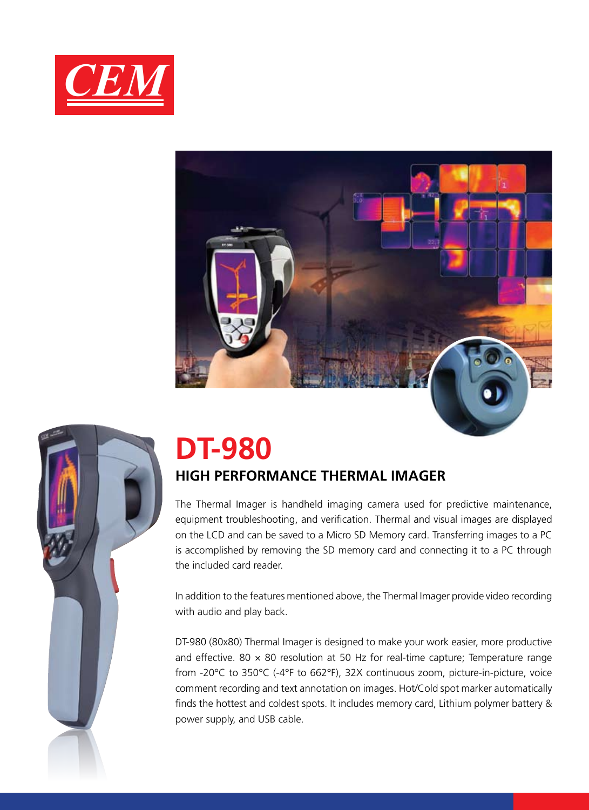





# **DT-980**

## **HIGH PERFORMANCE THERMAL IMAGER**

The Thermal Imager is handheld imaging camera used for predictive maintenance, equipment troubleshooting, and verification. Thermal and visual images are displayed on the LCD and can be saved to a Micro SD Memory card. Transferring images to a PC is accomplished by removing the SD memory card and connecting it to a PC through the included card reader.

In addition to the features mentioned above, the Thermal Imager provide video recording with audio and play back.

DT-980 (80x80) Thermal Imager is designed to make your work easier, more productive and effective. 80  $\times$  80 resolution at 50 Hz for real-time capture; Temperature range from -20°C to 350°C (-4°F to 662°F), 32X continuous zoom, picture-in-picture, voice comment recording and text annotation on images. Hot/Cold spot marker automatically finds the hottest and coldest spots. It includes memory card, Lithium polymer battery & power supply, and USB cable.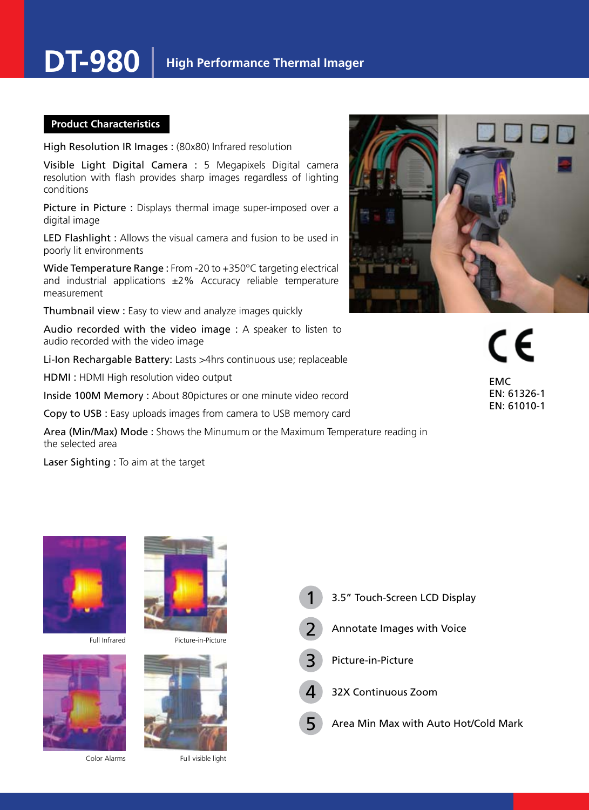### **Product Characteristics**

High Resolution IR Images : (80x80) Infrared resolution

Visible Light Digital Camera : 5 Megapixels Digital camera resolution with flash provides sharp images regardless of lighting conditions

Picture in Picture : Displays thermal image super-imposed over a digital image

LED Flashlight : Allows the visual camera and fusion to be used in poorly lit environments

Wide Temperature Range : From -20 to +350°C targeting electrical and industrial applications ±2% Accuracy reliable temperature measurement

Thumbnail view : Easy to view and analyze images quickly

Audio recorded with the video image : A speaker to listen to audio recorded with the video image

Li-Ion Rechargable Battery: Lasts >4hrs continuous use; replaceable

HDMI : HDMI High resolution video output

Inside 100M Memory : About 80pictures or one minute video record

Copy to USB : Easy uploads images from camera to USB memory card

Area (Min/Max) Mode : Shows the Minumum or the Maximum Temperature reading in the selected area

Laser Sighting : To aim at the target



( F EMC EN: 61326-1 EN: 61010-1



Color Alarms

Full visible light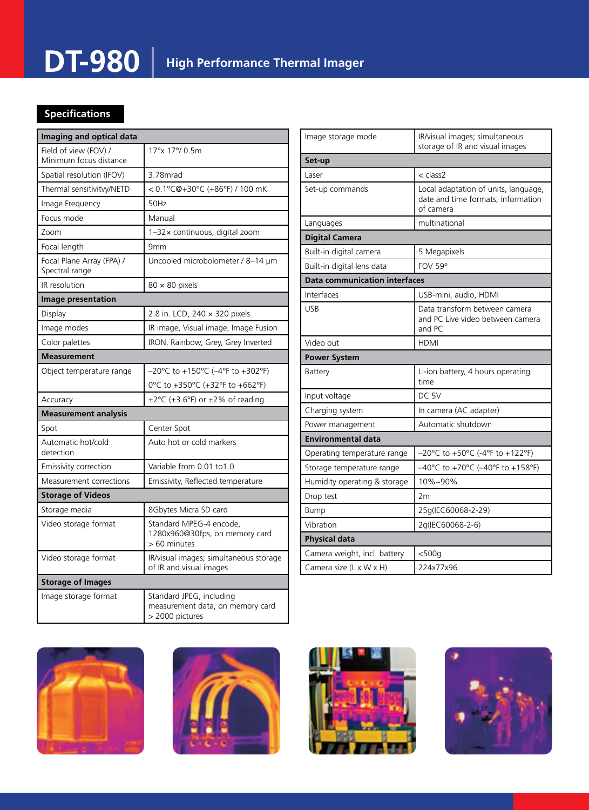## **DT-980 High Performance Thermal Imager**

### **Specifications**

| Imaging and optical data                        |                                                                                 |  |
|-------------------------------------------------|---------------------------------------------------------------------------------|--|
| Field of view (FOV) /<br>Minimum focus distance | 17°x 17°/ 0.5m                                                                  |  |
| Spatial resolution (IFOV)                       | 3.78mrad                                                                        |  |
| Thermal sensitivitvy/NETD                       | < 0.1°C@+30°C (+86°F) / 100 mK                                                  |  |
| Image Frequency                                 | 50Hz                                                                            |  |
| Focus mode                                      | Manual                                                                          |  |
| Zoom                                            | 1-32x continuous, digital zoom                                                  |  |
| Focal length                                    | 9mm                                                                             |  |
| Focal Plane Array (FPA) /<br>Spectral range     | Uncooled microbolometer / 8-14 µm                                               |  |
| IR resolution                                   | $80 \times 80$ pixels                                                           |  |
| Image presentation                              |                                                                                 |  |
| Display                                         | 2.8 in. LCD, 240 x 320 pixels                                                   |  |
| Image modes                                     | IR image, Visual image, Image Fusion                                            |  |
| Color palettes                                  | IRON, Rainbow, Grey, Grey Inverted                                              |  |
| <b>Measurement</b>                              |                                                                                 |  |
| Object temperature range                        | –20°C to +150°C (–4°F to +302°F)                                                |  |
|                                                 | 0°C to +350°C (+32°F to +662°F)                                                 |  |
| Accuracy                                        | ±2°C (±3.6°F) or ±2% of reading                                                 |  |
| <b>Measurement analysis</b>                     |                                                                                 |  |
| Spot                                            | Center Spot                                                                     |  |
| Automatic hot/cold<br>detection                 | Auto hot or cold markers                                                        |  |
| Emissivity correction                           | Variable from 0.01 to1.0                                                        |  |
| Measurement corrections                         | Emissivity, Reflected temperature                                               |  |
| <b>Storage of Videos</b>                        |                                                                                 |  |
| Storage media                                   | 8Gbytes Micra SD card                                                           |  |
| Video storage format                            | Standard MPEG-4 encode,<br>1280x960@30fps, on memory card<br>> 60 minutes       |  |
| Video storage format                            | IR/visual images; simultaneous storage<br>of IR and visual images               |  |
| <b>Storage of Images</b>                        |                                                                                 |  |
| Image storage format                            | Standard JPEG, including<br>measurement data, on memory card<br>> 2000 pictures |  |

| Image storage mode                   | IR/visual images; simultaneous<br>storage of IR and visual images                       |  |
|--------------------------------------|-----------------------------------------------------------------------------------------|--|
| Set-up                               |                                                                                         |  |
| Laser                                | < class2                                                                                |  |
| Set-up commands                      | Local adaptation of units, language,<br>date and time formats, information<br>of camera |  |
| Languages                            | multinational                                                                           |  |
| <b>Digital Camera</b>                |                                                                                         |  |
| Built-in digital camera              | 5 Megapixels                                                                            |  |
| Built-in digital lens data           | <b>FOV 59°</b>                                                                          |  |
| <b>Data communication interfaces</b> |                                                                                         |  |
| Interfaces                           | USB-mini, audio, HDMI                                                                   |  |
| <b>USB</b>                           | Data transform between camera<br>and PC Live video between camera<br>and $PC$           |  |
| Video out                            | <b>HDMI</b>                                                                             |  |
| <b>Power System</b>                  |                                                                                         |  |
| Battery                              | Li-ion battery, 4 hours operating<br>time                                               |  |
| Input voltage                        | DC 5V                                                                                   |  |
| Charging system                      | In camera (AC adapter)                                                                  |  |
| Power management                     | Automatic shutdown                                                                      |  |
| <b>Environmental data</b>            |                                                                                         |  |
| Operating temperature range          | $-20^{\circ}$ C to +50°C (-4°F to +122°F)                                               |  |
| Storage temperature range            | -40°C to +70°C (-40°F to +158°F)                                                        |  |
| Humidity operating & storage         | 10%~90%                                                                                 |  |
| Drop test                            | 2m                                                                                      |  |
| <b>Bump</b>                          | 25q(IEC60068-2-29)                                                                      |  |
| Vibration                            | 2g(IEC60068-2-6)                                                                        |  |
| <b>Physical data</b>                 |                                                                                         |  |
| Camera weight, incl. battery         |                                                                                         |  |
|                                      | $<$ 500g                                                                                |  |